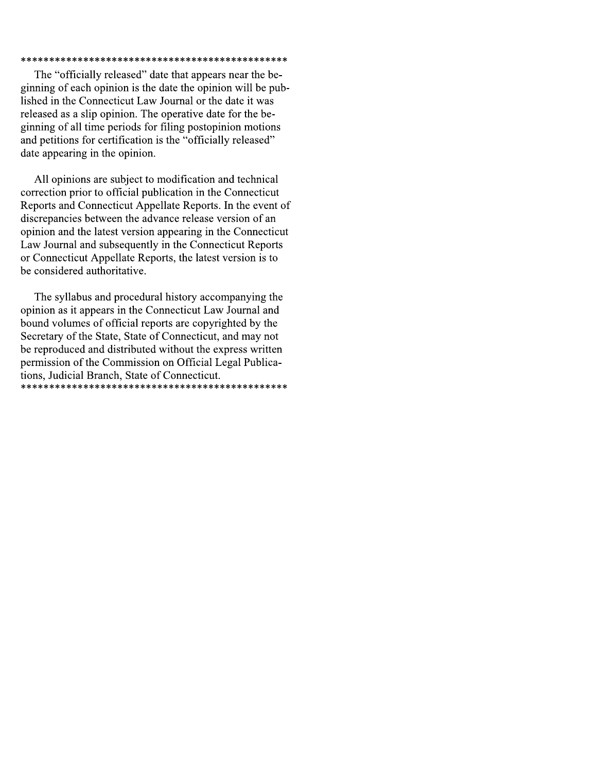### 

The "officially released" date that appears near the beginning of each opinion is the date the opinion will be published in the Connecticut Law Journal or the date it was released as a slip opinion. The operative date for the beginning of all time periods for filing postopinion motions and petitions for certification is the "officially released" date appearing in the opinion.

All opinions are subject to modification and technical correction prior to official publication in the Connecticut Reports and Connecticut Appellate Reports. In the event of discrepancies between the advance release version of an opinion and the latest version appearing in the Connecticut Law Journal and subsequently in the Connecticut Reports or Connecticut Appellate Reports, the latest version is to be considered authoritative.

The syllabus and procedural history accompanying the opinion as it appears in the Connecticut Law Journal and bound volumes of official reports are copyrighted by the Secretary of the State, State of Connecticut, and may not be reproduced and distributed without the express written permission of the Commission on Official Legal Publications, Judicial Branch, State of Connecticut.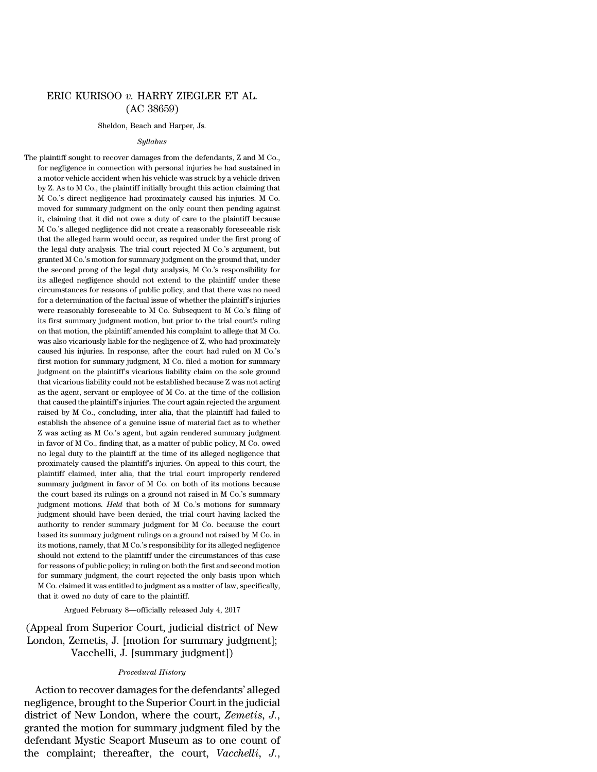# ERIC KURISOO *v.* HARRY ZIEGLER ET AL. (AC 38659)

#### Sheldon, Beach and Harper, Js.

#### *Syllabus*

The plaintiff sought to recover damages from the defendants, Z and M Co., for negligence in connection with personal injuries he had sustained in a motor vehicle accident when his vehicle was struck by a vehicle driven by Z. As to M Co., the plaintiff initially brought this action claiming that M Co.'s direct negligence had proximately caused his injuries. M Co. moved for summary judgment on the only count then pending against it, claiming that it did not owe a duty of care to the plaintiff because M Co.'s alleged negligence did not create a reasonably foreseeable risk that the alleged harm would occur, as required under the first prong of the legal duty analysis. The trial court rejected M Co.'s argument, but granted M Co.'s motion for summary judgment on the ground that, under the second prong of the legal duty analysis, M Co.'s responsibility for its alleged negligence should not extend to the plaintiff under these circumstances for reasons of public policy, and that there was no need for a determination of the factual issue of whether the plaintiff's injuries were reasonably foreseeable to M Co. Subsequent to M Co.'s filing of its first summary judgment motion, but prior to the trial court's ruling on that motion, the plaintiff amended his complaint to allege that M Co. was also vicariously liable for the negligence of Z, who had proximately caused his injuries. In response, after the court had ruled on M Co.'s first motion for summary judgment, M Co. filed a motion for summary judgment on the plaintiff's vicarious liability claim on the sole ground that vicarious liability could not be established because Z was not acting as the agent, servant or employee of M Co. at the time of the collision that caused the plaintiff's injuries. The court again rejected the argument raised by M Co., concluding, inter alia, that the plaintiff had failed to establish the absence of a genuine issue of material fact as to whether Z was acting as M Co.'s agent, but again rendered summary judgment in favor of M Co., finding that, as a matter of public policy, M Co. owed no legal duty to the plaintiff at the time of its alleged negligence that proximately caused the plaintiff's injuries. On appeal to this court, the plaintiff claimed, inter alia, that the trial court improperly rendered summary judgment in favor of M Co. on both of its motions because the court based its rulings on a ground not raised in M Co.'s summary judgment motions. *Held* that both of M Co.'s motions for summary judgment should have been denied, the trial court having lacked the authority to render summary judgment for M Co. because the court based its summary judgment rulings on a ground not raised by M Co. in its motions, namely, that M Co.'s responsibility for its alleged negligence should not extend to the plaintiff under the circumstances of this case for reasons of public policy; in ruling on both the first and second motion for summary judgment, the court rejected the only basis upon which M Co. claimed it was entitled to judgment as a matter of law, specifically, that it owed no duty of care to the plaintiff.

## Argued February 8—officially released July 4, 2017

# (Appeal from Superior Court, judicial district of New London, Zemetis, J. [motion for summary judgment]; Vacchelli, J. [summary judgment])

#### *Procedural History*

Action to recover damages forthe defendants' alleged negligence, brought to the Superior Court in the judicial district of New London, where the court, *Zemetis, J.*, granted the motion for summary judgment filed by the defendant Mystic Seaport Museum as to one count of the complaint; thereafter, the court, *Vacchelli, J.*,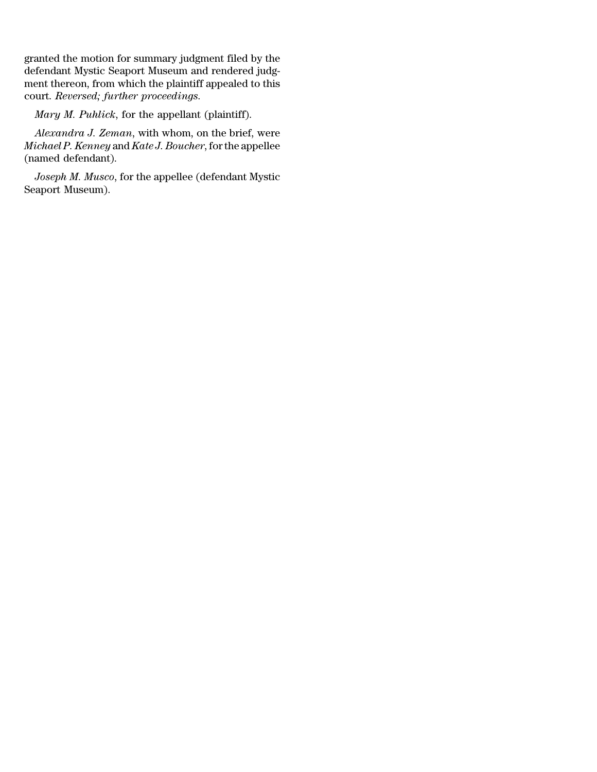granted the motion for summary judgment filed by the defendant Mystic Seaport Museum and rendered judgment thereon, from which the plaintiff appealed to this court. *Reversed; further proceedings.*

*Mary M. Puhlick*, for the appellant (plaintiff).

*Alexandra J. Zeman*, with whom, on the brief, were *Michael P. Kenney* and *Kate J. Boucher*, forthe appellee (named defendant).

*Joseph M. Musco*, for the appellee (defendant Mystic Seaport Museum).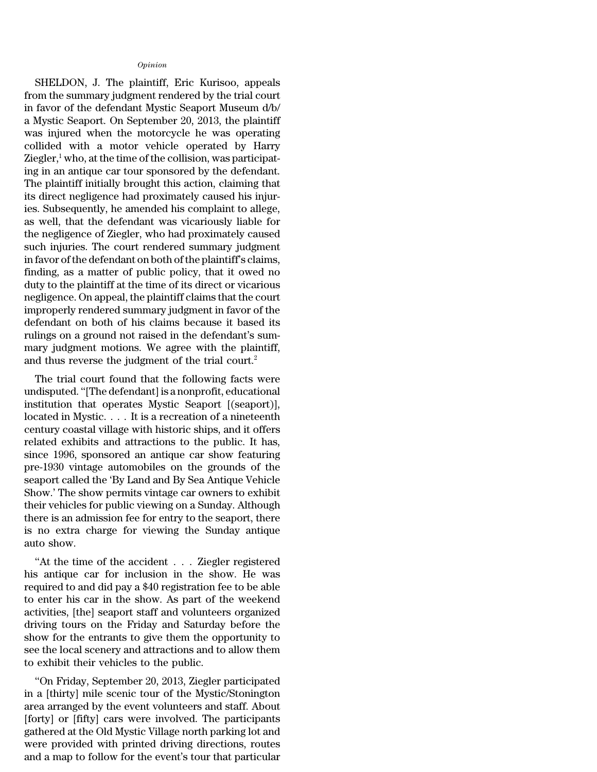### *Opinion*

SHELDON, J. The plaintiff, Eric Kurisoo, appeals from the summary judgment rendered by the trial court in favor of the defendant Mystic Seaport Museum d/b/ a Mystic Seaport. On September 20, 2013, the plaintiff was injured when the motorcycle he was operating collided with a motor vehicle operated by Harry Ziegler, $\frac{1}{2}$  who, at the time of the collision, was participating in an antique car tour sponsored by the defendant. The plaintiff initially brought this action, claiming that its direct negligence had proximately caused his injuries. Subsequently, he amended his complaint to allege, as well, that the defendant was vicariously liable for the negligence of Ziegler, who had proximately caused such injuries. The court rendered summary judgment in favor of the defendant on both of the plaintiff's claims, finding, as a matter of public policy, that it owed no duty to the plaintiff at the time of its direct or vicarious negligence. On appeal, the plaintiff claims that the court improperly rendered summary judgment in favor of the defendant on both of his claims because it based its rulings on a ground not raised in the defendant's summary judgment motions. We agree with the plaintiff, and thus reverse the judgment of the trial court.<sup>2</sup>

The trial court found that the following facts were undisputed. ''[The defendant] is a nonprofit, educational institution that operates Mystic Seaport [(seaport)], located in Mystic. . . . It is a recreation of a nineteenth century coastal village with historic ships, and it offers related exhibits and attractions to the public. It has, since 1996, sponsored an antique car show featuring pre-1930 vintage automobiles on the grounds of the seaport called the 'By Land and By Sea Antique Vehicle Show.' The show permits vintage car owners to exhibit their vehicles for public viewing on a Sunday. Although there is an admission fee for entry to the seaport, there is no extra charge for viewing the Sunday antique auto show.

''At the time of the accident . . . Ziegler registered his antique car for inclusion in the show. He was required to and did pay a \$40 registration fee to be able to enter his car in the show. As part of the weekend activities, [the] seaport staff and volunteers organized driving tours on the Friday and Saturday before the show for the entrants to give them the opportunity to see the local scenery and attractions and to allow them to exhibit their vehicles to the public.

''On Friday, September 20, 2013, Ziegler participated in a [thirty] mile scenic tour of the Mystic/Stonington area arranged by the event volunteers and staff. About [forty] or [fifty] cars were involved. The participants gathered at the Old Mystic Village north parking lot and were provided with printed driving directions, routes and a map to follow for the event's tour that particular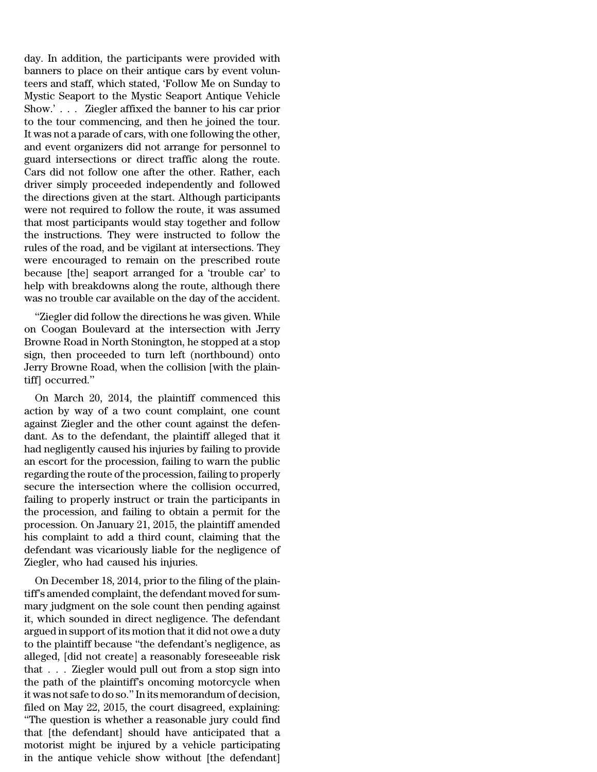day. In addition, the participants were provided with banners to place on their antique cars by event volunteers and staff, which stated, 'Follow Me on Sunday to Mystic Seaport to the Mystic Seaport Antique Vehicle Show.' . . . Ziegler affixed the banner to his car prior to the tour commencing, and then he joined the tour. It was not a parade of cars, with one following the other, and event organizers did not arrange for personnel to guard intersections or direct traffic along the route. Cars did not follow one after the other. Rather, each driver simply proceeded independently and followed the directions given at the start. Although participants were not required to follow the route, it was assumed that most participants would stay together and follow the instructions. They were instructed to follow the rules of the road, and be vigilant at intersections. They were encouraged to remain on the prescribed route because [the] seaport arranged for a 'trouble car' to help with breakdowns along the route, although there was no trouble car available on the day of the accident.

''Ziegler did follow the directions he was given. While on Coogan Boulevard at the intersection with Jerry Browne Road in North Stonington, he stopped at a stop sign, then proceeded to turn left (northbound) onto Jerry Browne Road, when the collision [with the plaintiff] occurred.''

On March 20, 2014, the plaintiff commenced this action by way of a two count complaint, one count against Ziegler and the other count against the defendant. As to the defendant, the plaintiff alleged that it had negligently caused his injuries by failing to provide an escort for the procession, failing to warn the public regarding the route of the procession, failing to properly secure the intersection where the collision occurred, failing to properly instruct or train the participants in the procession, and failing to obtain a permit for the procession. On January 21, 2015, the plaintiff amended his complaint to add a third count, claiming that the defendant was vicariously liable for the negligence of Ziegler, who had caused his injuries.

On December 18, 2014, prior to the filing of the plaintiff's amended complaint, the defendant moved for summary judgment on the sole count then pending against it, which sounded in direct negligence. The defendant argued in support of its motion that it did not owe a duty to the plaintiff because ''the defendant's negligence, as alleged, [did not create] a reasonably foreseeable risk that . . . Ziegler would pull out from a stop sign into the path of the plaintiff's oncoming motorcycle when it was not safe to do so.'' In its memorandum of decision, filed on May 22, 2015, the court disagreed, explaining: ''The question is whether a reasonable jury could find that [the defendant] should have anticipated that a motorist might be injured by a vehicle participating in the antique vehicle show without [the defendant]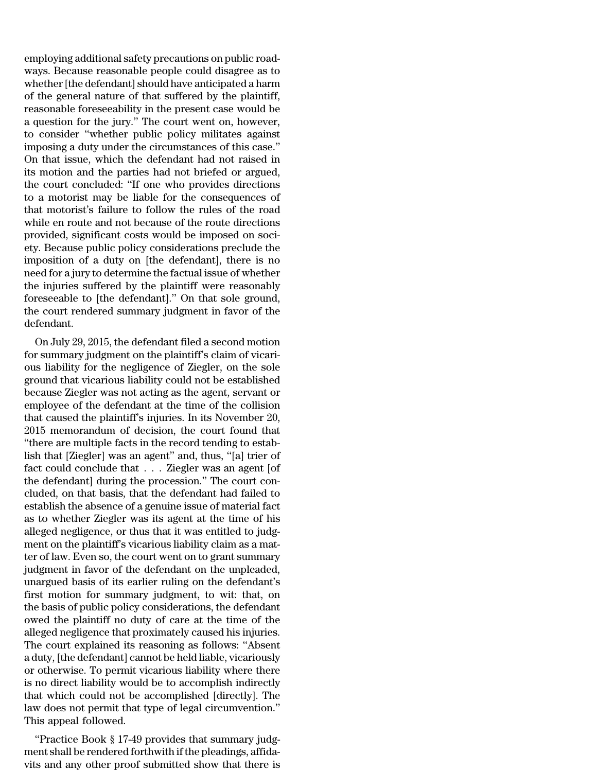employing additional safety precautions on public roadways. Because reasonable people could disagree as to whether [the defendant] should have anticipated a harm of the general nature of that suffered by the plaintiff, reasonable foreseeability in the present case would be a question for the jury.'' The court went on, however, to consider ''whether public policy militates against imposing a duty under the circumstances of this case.'' On that issue, which the defendant had not raised in its motion and the parties had not briefed or argued, the court concluded: ''If one who provides directions to a motorist may be liable for the consequences of that motorist's failure to follow the rules of the road while en route and not because of the route directions provided, significant costs would be imposed on society. Because public policy considerations preclude the imposition of a duty on [the defendant], there is no need for a jury to determine the factual issue of whether the injuries suffered by the plaintiff were reasonably foreseeable to [the defendant].'' On that sole ground, the court rendered summary judgment in favor of the defendant.

On July 29, 2015, the defendant filed a second motion for summary judgment on the plaintiff's claim of vicarious liability for the negligence of Ziegler, on the sole ground that vicarious liability could not be established because Ziegler was not acting as the agent, servant or employee of the defendant at the time of the collision that caused the plaintiff's injuries. In its November 20, 2015 memorandum of decision, the court found that ''there are multiple facts in the record tending to establish that [Ziegler] was an agent'' and, thus, ''[a] trier of fact could conclude that . . . Ziegler was an agent [of the defendant] during the procession.'' The court concluded, on that basis, that the defendant had failed to establish the absence of a genuine issue of material fact as to whether Ziegler was its agent at the time of his alleged negligence, or thus that it was entitled to judgment on the plaintiff's vicarious liability claim as a matter of law. Even so, the court went on to grant summary judgment in favor of the defendant on the unpleaded, unargued basis of its earlier ruling on the defendant's first motion for summary judgment, to wit: that, on the basis of public policy considerations, the defendant owed the plaintiff no duty of care at the time of the alleged negligence that proximately caused his injuries. The court explained its reasoning as follows: ''Absent a duty, [the defendant] cannot be held liable, vicariously or otherwise. To permit vicarious liability where there is no direct liability would be to accomplish indirectly that which could not be accomplished [directly]. The law does not permit that type of legal circumvention.'' This appeal followed.

''Practice Book § 17-49 provides that summary judgment shall be rendered forthwith if the pleadings, affidavits and any other proof submitted show that there is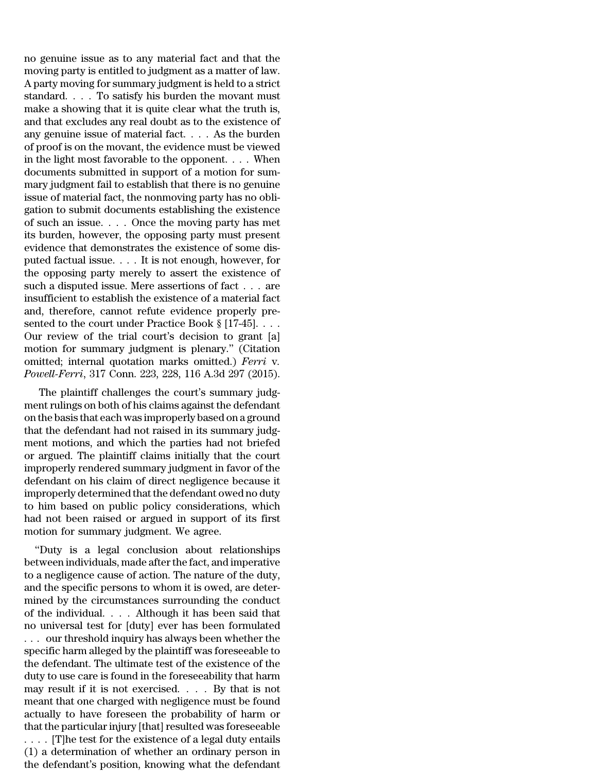no genuine issue as to any material fact and that the moving party is entitled to judgment as a matter of law. A party moving for summary judgment is held to a strict standard. . . . To satisfy his burden the movant must make a showing that it is quite clear what the truth is, and that excludes any real doubt as to the existence of any genuine issue of material fact. . . . As the burden of proof is on the movant, the evidence must be viewed in the light most favorable to the opponent. . . . When documents submitted in support of a motion for summary judgment fail to establish that there is no genuine issue of material fact, the nonmoving party has no obligation to submit documents establishing the existence of such an issue. . . . Once the moving party has met its burden, however, the opposing party must present evidence that demonstrates the existence of some disputed factual issue. . . . It is not enough, however, for the opposing party merely to assert the existence of such a disputed issue. Mere assertions of fact . . . are insufficient to establish the existence of a material fact and, therefore, cannot refute evidence properly presented to the court under Practice Book § [17-45]... Our review of the trial court's decision to grant [a] motion for summary judgment is plenary.'' (Citation omitted; internal quotation marks omitted.) *Ferri* v*. Powell-Ferri*, 317 Conn. 223, 228, 116 A.3d 297 (2015).

The plaintiff challenges the court's summary judgment rulings on both of his claims against the defendant on the basis that each was improperly based on a ground that the defendant had not raised in its summary judgment motions, and which the parties had not briefed or argued. The plaintiff claims initially that the court improperly rendered summary judgment in favor of the defendant on his claim of direct negligence because it improperly determined that the defendant owed no duty to him based on public policy considerations, which had not been raised or argued in support of its first motion for summary judgment. We agree.

''Duty is a legal conclusion about relationships between individuals, made after the fact, and imperative to a negligence cause of action. The nature of the duty, and the specific persons to whom it is owed, are determined by the circumstances surrounding the conduct of the individual. . . . Although it has been said that no universal test for [duty] ever has been formulated . . . our threshold inquiry has always been whether the specific harm alleged by the plaintiff was foreseeable to the defendant. The ultimate test of the existence of the duty to use care is found in the foreseeability that harm may result if it is not exercised. . . . By that is not meant that one charged with negligence must be found actually to have foreseen the probability of harm or that the particular injury [that] resulted was foreseeable . . . . [T]he test for the existence of a legal duty entails

(1) a determination of whether an ordinary person in the defendant's position, knowing what the defendant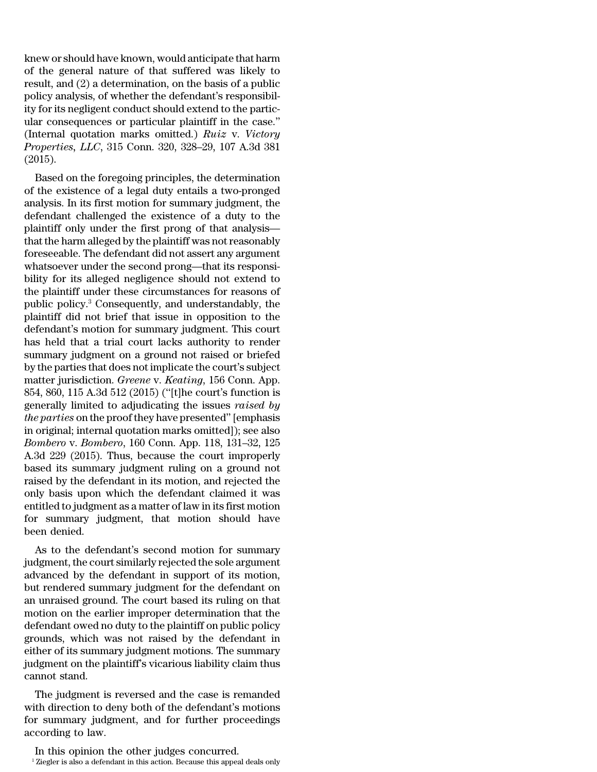knew or should have known, would anticipate that harm of the general nature of that suffered was likely to result, and (2) a determination, on the basis of a public policy analysis, of whether the defendant's responsibility for its negligent conduct should extend to the particular consequences or particular plaintiff in the case.'' (Internal quotation marks omitted.) *Ruiz* v. *Victory Properties, LLC*, 315 Conn. 320, 328–29, 107 A.3d 381 (2015).

Based on the foregoing principles, the determination of the existence of a legal duty entails a two-pronged analysis. In its first motion for summary judgment, the defendant challenged the existence of a duty to the plaintiff only under the first prong of that analysis that the harm alleged by the plaintiff was notreasonably foreseeable. The defendant did not assert any argument whatsoever under the second prong—that its responsibility for its alleged negligence should not extend to the plaintiff under these circumstances for reasons of public policy.<sup>3</sup> Consequently, and understandably, the plaintiff did not brief that issue in opposition to the defendant's motion for summary judgment. This court has held that a trial court lacks authority to render summary judgment on a ground not raised or briefed by the parties that does not implicate the court's subject matter jurisdiction. *Greene* v. *Keating*, 156 Conn. App. 854, 860, 115 A.3d 512 (2015) (''[t]he court's function is generally limited to adjudicating the issues *raised by the parties* on the proof they have presented'' [emphasis in original; internal quotation marks omitted]); see also *Bombero* v. *Bombero*, 160 Conn. App. 118, 131–32, 125 A.3d 229 (2015). Thus, because the court improperly based its summary judgment ruling on a ground not raised by the defendant in its motion, and rejected the only basis upon which the defendant claimed it was entitled to judgment as a matter of law in its first motion for summary judgment, that motion should have been denied.

As to the defendant's second motion for summary judgment, the court similarly rejected the sole argument advanced by the defendant in support of its motion, but rendered summary judgment for the defendant on an unraised ground. The court based its ruling on that motion on the earlier improper determination that the defendant owed no duty to the plaintiff on public policy grounds, which was not raised by the defendant in either of its summary judgment motions. The summary judgment on the plaintiff's vicarious liability claim thus cannot stand.

The judgment is reversed and the case is remanded with direction to deny both of the defendant's motions for summary judgment, and for further proceedings according to law.

In this opinion the other judges concurred.

<sup>&</sup>lt;sup>1</sup> Ziegler is also a defendant in this action. Because this appeal deals only